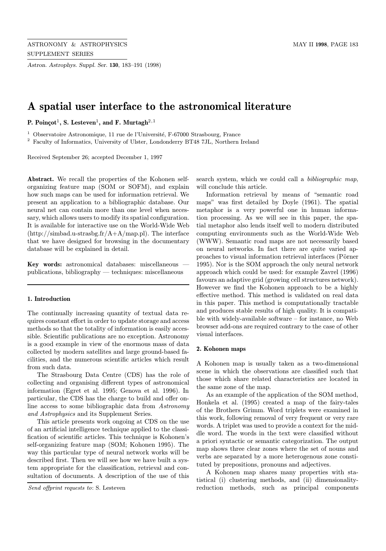Astron. Astrophys. Suppl. Ser. 130, 183–191 (1998)

# A spatial user interface to the astronomical literature

P. Poinçot<sup>1</sup>, S. Lesteven<sup>1</sup>, and F. Murtagh<sup>2,1</sup>

<sup>1</sup> Observatoire Astronomique, 11 rue de l'Université, F-67000 Strasbourg, France

<sup>2</sup> Faculty of Informatics, University of Ulster, Londonderry BT48 7JL, Northern Ireland

Received September 26; accepted December 1, 1997

Abstract. We recall the properties of the Kohonen selforganizing feature map (SOM or SOFM), and explain how such maps can be used for information retrieval. We present an application to a bibliographic database. Our neural net can contain more than one level when necessary, which allows users to modify its spatial configuration. It is available for interactive use on the World-Wide Web (http://simbad.u-strasbg.fr/A+A/map.pl). The interface that we have designed for browsing in the documentary database will be explained in detail.

Key words: astronomical databases: miscellaneous publications, bibliography — techniques: miscellaneous

#### 1. Introduction

The continually increasing quantity of textual data requires constant effort in order to update storage and access methods so that the totality of information is easily accessible. Scientific publications are no exception. Astronomy is a good example in view of the enormous mass of data collected by modern satellites and large ground-based facilities, and the numerous scientific articles which result from such data.

The Strasbourg Data Centre (CDS) has the role of collecting and organising different types of astronomical information (Egret et al. 1995; Genova et al. 1996). In particular, the CDS has the charge to build and offer online access to some bibliographic data from Astronomy and Astrophysics and its Supplement Series.

This article presents work ongoing at CDS on the use of an artificial intelligence technique applied to the classification of scientific articles. This technique is Kohonen's self-organizing feature map (SOM; Kohonen 1995). The way this particular type of neural network works will be described first. Then we will see how we have built a system appropriate for the classification, retrieval and consultation of documents. A description of the use of this

Send offprint requests to: S. Lesteven

search system, which we could call a *bibliographic map*, will conclude this article.

Information retrieval by means of "semantic road maps" was first detailed by Doyle (1961). The spatial metaphor is a very powerful one in human information processing. As we will see in this paper, the spatial metaphor also lends itself well to modern distributed computing environments such as the World-Wide Web (WWW). Semantic road maps are not necessarily based on neural networks. In fact there are quite varied approaches to visual information retrieval interfaces (Pörner 1995). Nor is the SOM approach the only neural network approach which could be used: for example Zavrel (1996) favours an adaptive grid (growing cell structures network). However we find the Kohonen approach to be a highly effective method. This method is validated on real data in this paper. This method is computationally tractable and produces stable results of high quality. It is compatible with widely-available software – for instance, no Web browser add-ons are required contrary to the case of other visual interfaces.

#### 2. Kohonen maps

A Kohonen map is usually taken as a two-dimensional scene in which the observations are classified such that those which share related characteristics are located in the same zone of the map.

As an example of the application of the SOM method, Honkela et al. (1995) created a map of the fairy-tales of the Brothers Grimm. Word triplets were examined in this work, following removal of very frequent or very rare words. A triplet was used to provide a context for the middle word. The words in the text were classified without a priori syntactic or semantic categorization. The output map shows three clear zones where the set of nouns and verbs are separated by a more heterogenous zone constituted by prepositions, pronouns and adjectives.

A Kohonen map shares many properties with statistical (i) clustering methods, and (ii) dimensionalityreduction methods, such as principal components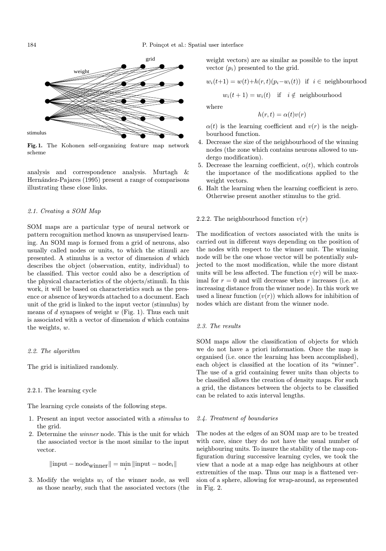

Fig. 1. The Kohonen self-organizing feature map network scheme

analysis and correspondence analysis. Murtagh & Hernández-Pajares (1995) present a range of comparisons illustrating these close links.

## 2.1. Creating a SOM Map

SOM maps are a particular type of neural network or pattern recognition method known as unsupervised learning. An SOM map is formed from a grid of neurons, also usually called nodes or units, to which the stimuli are presented. A stimulus is a vector of dimension d which describes the object (observation, entity, individual) to be classified. This vector could also be a description of the physical characteristics of the objects/stimuli. In this work, it will be based on characteristics such as the presence or absence of keywords attached to a document. Each unit of the grid is linked to the input vector (stimulus) by means of  $d$  synapses of weight  $w$  (Fig. 1). Thus each unit is associated with a vector of dimension  $d$  which contains the weights, w.

#### 2.2. The algorithm

The grid is initialized randomly.

# 2.2.1. The learning cycle

The learning cycle consists of the following steps.

- 1. Present an input vector associated with a stimulus to the grid.
- 2. Determine the winner node. This is the unit for which the associated vector is the most similar to the input vector.

$$
\| \text{input} - \text{node}_{\text{winner}} \| = \min_i \| \text{input} - \text{node}_i \|
$$

3. Modify the weights  $w_i$  of the winner node, as well as those nearby, such that the associated vectors (the weight vectors) are as similar as possible to the input vector  $(p_i)$  presented to the grid.

$$
w_i(t+1) = w(t) + h(r,t)(p_i - w_i(t))
$$
 if  $i \in$  neighbourhood

 $w_i(t + 1) = w_i(t)$  if  $i \notin$  neighbourhood

where

$$
h(r,t) = \alpha(t)v(r)
$$

 $\alpha(t)$  is the learning coefficient and  $v(r)$  is the neighbourhood function.

- 4. Decrease the size of the neighbourhood of the winning nodes (the zone which contains neurons allowed to undergo modification).
- 5. Decrease the learning coefficient,  $\alpha(t)$ , which controls the importance of the modifications applied to the weight vectors.
- 6. Halt the learning when the learning coefficient is zero. Otherwise present another stimulus to the grid.

#### 2.2.2. The neighbourhood function  $v(r)$

The modification of vectors associated with the units is carried out in different ways depending on the position of the nodes with respect to the winner unit. The winning node will be the one whose vector will be potentially subjected to the most modification, while the more distant units will be less affected. The function  $v(r)$  will be maximal for  $r = 0$  and will decrease when r increases (i.e. at increasing distance from the winner node). In this work we used a linear function  $(v(r))$  which allows for inhibition of nodes which are distant from the winner node.

### 2.3. The results

SOM maps allow the classification of objects for which we do not have a priori information. Once the map is organised (i.e. once the learning has been accomplished), each object is classified at the location of its "winner". The use of a grid containing fewer units than objects to be classified allows the creation of density maps. For such a grid, the distances between the objects to be classified can be related to axis interval lengths.

#### 2.4. Treatment of boundaries

The nodes at the edges of an SOM map are to be treated with care, since they do not have the usual number of neighbouring units. To insure the stability of the map configuration during successive learning cycles, we took the view that a node at a map edge has neighbours at other extremities of the map. Thus our map is a flattened version of a sphere, allowing for wrap-around, as represented in Fig. 2.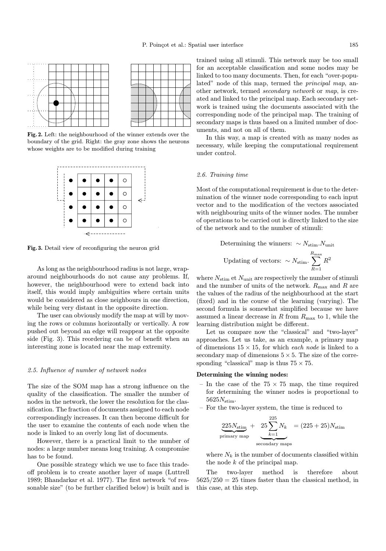

Fig. 2. Left: the neighbourhood of the winner extends over the boundary of the grid. Right: the gray zone shows the neurons whose weights are to be modified during training



Fig. 3. Detail view of reconfiguring the neuron grid

As long as the neighbourhood radius is not large, wraparound neighbourhoods do not cause any problems. If, however, the neighbourhood were to extend back into itself, this would imply ambiguities where certain units would be considered as close neighbours in one direction, while being very distant in the opposite direction.

The user can obviously modify the map at will by moving the rows or columns horizontally or vertically. A row pushed out beyond an edge will reappear at the opposite side (Fig. 3). This reordering can be of benefit when an interesting zone is located near the map extremity.

## 2.5. Influence of number of network nodes

The size of the SOM map has a strong influence on the quality of the classification. The smaller the number of nodes in the network, the lower the resolution for the classification. The fraction of documents assigned to each node correspondingly increases. It can then become difficult for the user to examine the contents of each node when the node is linked to an overly long list of documents.

However, there is a practical limit to the number of nodes: a large number means long training. A compromise has to be found.

One possible strategy which we use to face this tradeoff problem is to create another layer of maps (Luttrell 1989; Bhandarkar et al. 1977). The first network "of reasonable size" (to be further clarified below) is built and is

trained using all stimuli. This network may be too small for an acceptable classification and some nodes may be linked to too many documents. Then, for each "over-populated" node of this map, termed the *principal map*, another network, termed secondary network or map, is created and linked to the principal map. Each secondary network is trained using the documents associated with the corresponding node of the principal map. The training of secondary maps is thus based on a limited number of documents, and not on all of them.

In this way, a map is created with as many nodes as necessary, while keeping the computational requirement under control.

#### 2.6. Training time

Most of the computational requirement is due to the determination of the winner node corresponding to each input vector and to the modification of the vectors associated with neighbouring units of the winner nodes. The number of operations to be carried out is directly linked to the size of the network and to the number of stimuli:

Determining the winners: 
$$
\sim N_{\text{stim}}. N_{\text{unit}}
$$
  
Updating of vectors:  $\sim N_{\text{stim}} \cdot \sum_{R=1}^{R_{\text{max}}} R^2$ 

where  $N_{\text{stim}}$  et  $N_{\text{unit}}$  are respectively the number of stimuli and the number of units of the network.  $R_{\text{max}}$  and R are the values of the radius of the neighbourhood at the start (fixed) and in the course of the learning (varying). The second formula is somewhat simplified because we have assumed a linear decrease in  $R$  from  $R_{\text{max}}$  to 1, while the learning distribution might be different.

Let us compare now the "classical" and "two-layer" approaches. Let us take, as an example, a primary map of dimensions  $15\times 15,$  for which  $\emph{each node}$  is linked to a secondary map of dimensions  $5 \times 5$ . The size of the corresponding "classical" map is thus  $75 \times 75$ .

## Determining the winning nodes:

- In the case of the  $75 \times 75$  map, the time required for determining the winner nodes is proportional to  $5625N_{\text{stim}}$ .
- For the two-layer system, the time is reduced to

$$
\underbrace{225N_{\text{stim}}}_{\text{primary map}} + \underbrace{25\sum_{k=1}^{225}N_k}_{\text{secondary maps}} = (225 + 25)N_{\text{stim}}
$$

where  $N_k$  is the number of documents classified within the node  $k$  of the principal map.

The two-layer method is therefore about  $5625/250 = 25$  times faster than the classical method, in this case, at this step.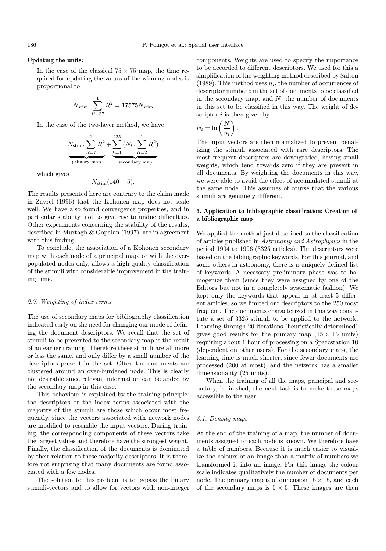#### Updating the units:

– In the case of the classical  $75 \times 75$  map, the time required for updating the values of the winning nodes is proportional to

$$
N_{\text{stim}} \cdot \sum_{R=37}^{1} R^2 = 17575 N_{\text{stim}}
$$

– In the case of the two-layer method, we have

$$
N_{\text{stim.}} \underbrace{\sum_{R=7}^{1} R^2}_{\text{primary map}} + \underbrace{\sum_{k=1}^{225} (N_k. \sum_{R=2}^{1} R^2)}_{\text{secondary map}}
$$

which gives

$$
N_{\text{stim}}(140+5).
$$

The results presented here are contrary to the claim made in Zavrel (1996) that the Kohonen map does not scale well. We have also found convergence properties, and in particular stability, not to give rise to undue difficulties. Other experiments concerning the stability of the results, described in Murtagh & Gopalan (1997), are in agreement with this finding.

To conclude, the association of a Kohonen secondary map with each node of a principal map, or with the overpopulated nodes only, allows a high-quality classification of the stimuli with considerable improvement in the training time.

#### 2.7. Weighting of index terms

The use of secondary maps for bibliography classification indicated early on the need for changing our mode of defining the document descriptors. We recall that the set of stimuli to be presented to the secondary map is the result of an earlier training. Therefore these stimuli are all more or less the same, and only differ by a small number of the descriptors present in the set. Often the documents are clustered around an over-burdened node. This is clearly not desirable since relevant information can be added by the secondary map in this case.

This behaviour is explained by the training principle: the descriptors or the index terms associated with the majority of the stimuli are those which occur most frequently, since the vectors associated with network nodes are modified to resemble the input vectors. During training, the corresponding components of these vectors take the largest values and therefore have the strongest weight. Finally, the classification of the documents is dominated by their relation to these majority descriptors. It is therefore not surprising that many documents are found associated with a few nodes.

The solution to this problem is to bypass the binary stimuli-vectors and to allow for vectors with non-integer components. Weights are used to specify the importance to be accorded to different descriptors. We used for this a simplification of the weighting method described by Salton (1989). This method uses  $n_i$ , the number of occurrences of descriptor number  $i$  in the set of documents to be classified in the secondary map; and  $N$ , the number of documents in this set to be classified in this way. The weight of descriptor  $i$  is then given by

$$
w_i = \ln\left(\frac{N}{n_i}\right).
$$

The input vectors are then normalized to prevent penalizing the stimuli associated with rare descriptors. The most frequent descriptors are downgraded, having small weights, which tend towards zero if they are present in all documents. By weighting the documents in this way, we were able to avoid the effect of accumulated stimuli at the same node. This assumes of course that the various stimuli are genuinely different.

## 3. Application to bibliographic classification: Creation of a bibliographic map

We applied the method just described to the classification of articles published in Astronomy and Astrophysics in the period 1994 to 1996 (3325 articles). The descriptors were based on the bibliographic keywords. For this journal, and some others in astronomy, there is a uniquely defined list of keywords. A necessary preliminary phase was to homogenize them (since they were assigned by one of the Editors but not in a completely systematic fashion). We kept only the keywords that appear in at least 5 different articles, so we limited our descriptors to the 250 most frequent. The documents characterized in this way constitute a set of 3325 stimuli to be applied to the network. Learning through 20 iterations (heuristically determined) gives good results for the primary map  $(15 \times 15 \text{ units})$ requiring about 1 hour of processing on a Sparcstation 10 (dependent on other users). For the secondary maps, the learning time is much shorter, since fewer documents are processed (200 at most), and the network has a smaller dimensionality (25 units).

When the training of all the maps, principal and secondary, is finished, the next task is to make these maps accessible to the user.

#### 3.1. Density maps

At the end of the training of a map, the number of documents assigned to each node is known. We therefore have a table of numbers. Because it is much easier to visualize the colours of an image than a matrix of numbers we transformed it into an image. For this image the colour scale indicates qualitatively the number of documents per node. The primary map is of dimension  $15 \times 15$ , and each of the secondary maps is  $5 \times 5$ . These images are then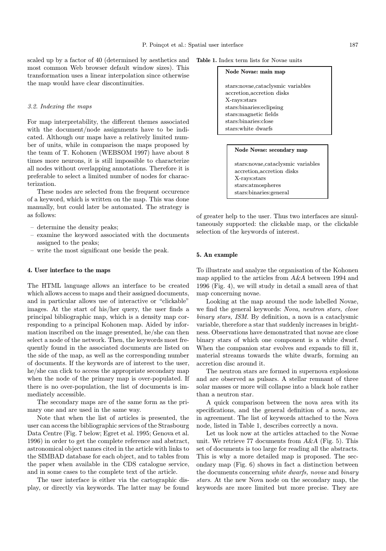scaled up by a factor of 40 (determined by aesthetics and most common Web browser default window sizes). This transformation uses a linear interpolation since otherwise the map would have clear discontinuities.

#### 3.2. Indexing the maps

For map interpretability, the different themes associated with the document/node assignments have to be indicated. Although our maps have a relatively limited number of units, while in comparison the maps proposed by the team of T. Kohonen (WEBSOM 1997) have about 8 times more neurons, it is still impossible to characterize all nodes without overlapping annotations. Therefore it is preferable to select a limited number of nodes for characterization.

These nodes are selected from the frequent occurence of a keyword, which is written on the map. This was done manually, but could later be automated. The strategy is as follows:

- determine the density peaks;
- examine the keyword associated with the documents assigned to the peaks;
- write the most significant one beside the peak.

### 4. User interface to the maps

The HTML language allows an interface to be created which allows access to maps and their assigned documents, and in particular allows use of interactive or "clickable" images. At the start of his/her query, the user finds a principal bibliographic map, which is a density map corresponding to a principal Kohonen map. Aided by information inscribed on the image presented, he/she can then select a node of the network. Then, the keywords most frequently found in the associated documents are listed on the side of the map, as well as the corresponding number of documents. If the keywords are of interest to the user, he/she can click to access the appropriate secondary map when the node of the primary map is over-populated. If there is no over-population, the list of documents is immediately accessible.

The secondary maps are of the same form as the primary one and are used in the same way.

Note that when the list of articles is presented, the user can access the bibliographic services of the Strasbourg Data Centre (Fig. 7 below; Egret et al. 1995; Genova et al. 1996) in order to get the complete reference and abstract, astronomical object names cited in the article with links to the SIMBAD database for each object, and to tables from the paper when available in the CDS catalogue service, and in some cases to the complete text of the article.

The user interface is either via the cartographic display, or directly via keywords. The latter may be found

| <b>Table 1.</b> Index term lists for Novae units |  |
|--------------------------------------------------|--|
|--------------------------------------------------|--|

| Node Novae: main map                                                                                                                                            |
|-----------------------------------------------------------------------------------------------------------------------------------------------------------------|
| stars:novae,cataclysmic variables<br>accretion, accretion disks<br>X-rays:stars<br>stars: binaries: eclipsing<br>stars: magnetic fields<br>stars:binaries:close |
| stars:white dwarfs                                                                                                                                              |
|                                                                                                                                                                 |

#### Node Novae: secondary map

stars:novae,cataclysmic variables accretion,accretion disks X-rays:stars stars:atmospheres stars:binaries:general

of greater help to the user. Thus two interfaces are simultaneously supported: the clickable map, or the clickable selection of the keywords of interest.

#### 5. An example

To illustrate and analyze the organisation of the Kohonen map applied to the articles from A&A between 1994 and 1996 (Fig. 4), we will study in detail a small area of that map concerning novae.

Looking at the map around the node labelled Novae, we find the general keywords: Nova, neutron stars, close binary stars, ISM. By definition, a nova is a cataclysmic variable, therefore a star that suddenly increases in brightness. Observations have demonstrated that novae are close binary stars of which one component is a white dwarf. When the companion star evolves and expands to fill it, material streams towards the white dwarfs, forming an accretion disc around it.

The neutron stars are formed in supernova explosions and are observed as pulsars. A stellar remnant of three solar masses or more will collapse into a black hole rather than a neutron star.

A quick comparison between the nova area with its specifications, and the general definition of a nova, are in agreement. The list of keywords attached to the Nova node, listed in Table 1, describes correctly a nova.

Let us look now at the articles attached to the Novae unit. We retrieve 77 documents from  $A\&A$  (Fig. 5). This set of documents is too large for reading all the abstracts. This is why a more detailed map is proposed. The secondary map (Fig. 6) shows in fact a distinction between the documents concerning white dwarfs, novae and binary stars. At the new Nova node on the secondary map, the keywords are more limited but more precise. They are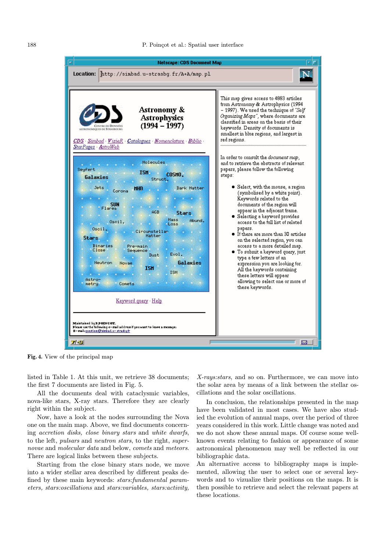

Fig. 4. View of the principal map

listed in Table 1. At this unit, we retrieve 38 documents; the first 7 documents are listed in Fig. 5.

All the documents deal with cataclysmic variables, nova-like stars, X-ray stars. Therefore they are clearly right within the subject.

Now, have a look at the nodes surrounding the Nova one on the main map. Above, we find documents concerning accretion disks, close binary stars and white dwarfs, to the left, pulsars and neutron stars, to the right, supernovae and molecular data and below, comets and meteors. There are logical links between these subjects.

Starting from the close binary stars node, we move into a wider stellar area described by different peaks defined by these main keywords: stars:fundamental parameters, stars:oscillations and stars:variables, stars:activity,

X-rays:stars, and so on. Furthermore, we can move into the solar area by means of a link between the stellar oscillations and the solar oscillations.

In conclusion, the relationships presented in the map have been validated in most cases. We have also studied the evolution of annual maps, over the period of three years considered in this work. Little change was noted and we do not show these annual maps. Of course some wellknown events relating to fashion or appearance of some astronomical phenomenon may well be reflected in our bibliographic data.

An alternative access to bibliography maps is implemented, allowing the user to select one or several keywords and to vizualize their positions on the maps. It is then possible to retrieve and select the relevant papers at these locations.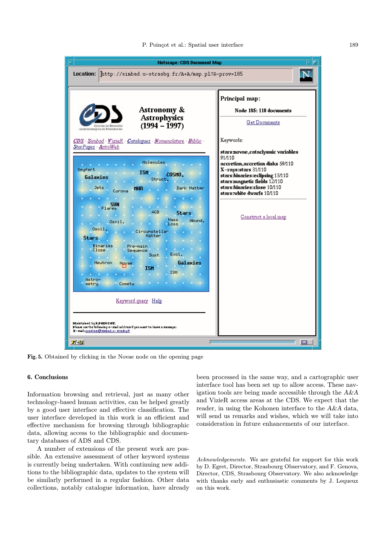

Fig. 5. Obtained by clicking in the Novae node on the opening page

#### 6. Conclusions

Information browsing and retrieval, just as many other technology-based human activities, can be helped greatly by a good user interface and effective classification. The user interface developed in this work is an efficient and effective mechanism for browsing through bibliographic data, allowing access to the bibliographic and documentary databases of ADS and CDS.

A number of extensions of the present work are possible. An extensive assessment of other keyword systems is currently being undertaken. With continuing new additions to the bibliographic data, updates to the system will be similarly performed in a regular fashion. Other data collections, notably catalogue information, have already

been processed in the same way, and a cartographic user interface tool has been set up to allow access. These navigation tools are being made accessible through the A&A and VizieR access areas at the CDS. We expect that the reader, in using the Kohonen interface to the A&A data, will send us remarks and wishes, which we will take into consideration in future enhancements of our interface.

Acknowledgements. We are grateful for support for this work by D. Egret, Director, Strasbourg Observatory, and F. Genova, Director, CDS, Strasbourg Observatory. We also acknowledge with thanks early and enthusiastic comments by J. Lequeux on this work.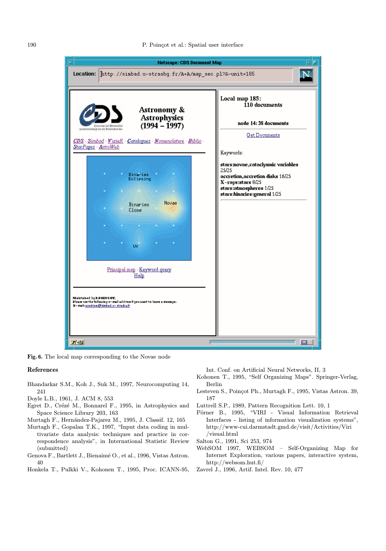

Fig. 6. The local map corresponding to the Novae node

#### References

- Bhandarkar S.M., Koh J., Suk M., 1997, Neurocomputing 14, 241
- Doyle L.B., 1961, J. ACM 8, 553
- Egret D., Crézé M., Bonnarel F., 1995, in Astrophysics and Space Science Library 203, 163
- Murtagh F., Hernández-Pajarez M., 1995, J. Classif. 12, 165
- Murtagh F., Gopalan T.K., 1997, "Input data coding in multivariate data analysis: techniques and practice in correspondence analysis", in International Statistic Review (submitted)
- Genova F., Bartlett J., Bienaim´e O., et al., 1996, Vistas Astron. 40
- Honkela T., Pulkki V., Kohonen T., 1995, Proc. ICANN-95,

Int. Conf. on Artificial Neural Networks, II, 3

- Kohonen T., 1995, "Self Organizing Maps". Springer-Verlag, Berlin
- Lesteven S., Poincot Ph., Murtagh F., 1995, Vistas Astron. 39, 187
- Luttrell S.P., 1989, Pattern Recognition Lett. 10, 1
- Pörner B., 1995, "VIRI Visual Information Retrieval Interfaces - listing of information visualization systems", http://www-cui.darmstadt.gmd.de/visit/Activities/Viri /visual.html
- Salton G., 1991, Sci 253, 974
- WebSOM 1997, WEBSOM Self-Organizing Map for Internet Exploration, various papers, interactive system, http://websom.hut.fi/
- Zavrel J., 1996, Artif. Intel. Rev. 10, 477